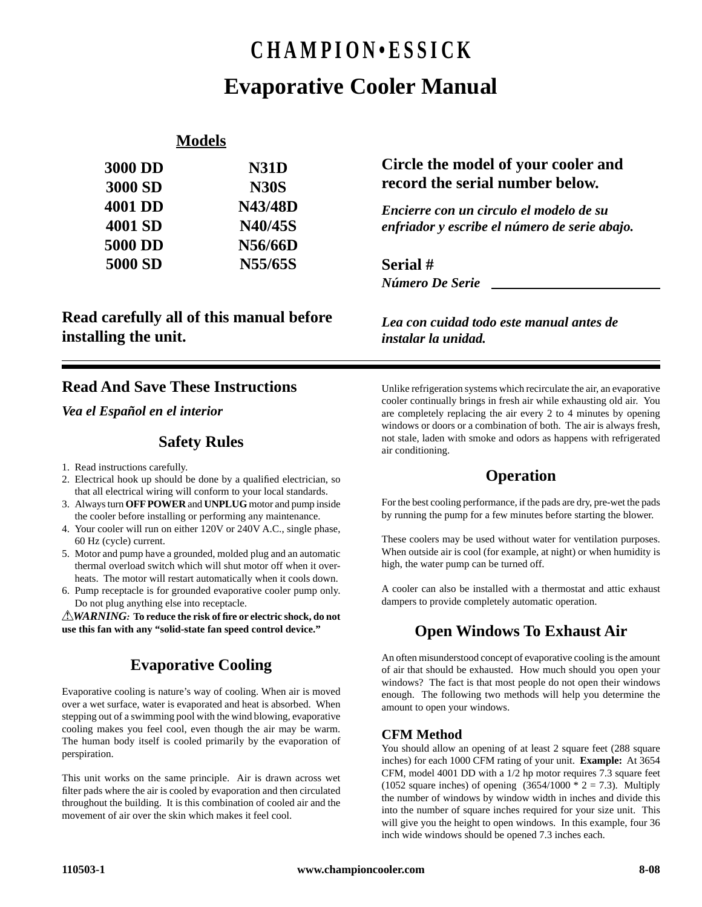# **CHAMPION•ESSICK Evaporative Cooler Manual**

### **Models**

| <b>3000 DD</b> | <b>N31D</b>    |
|----------------|----------------|
| 3000 SD        | <b>N30S</b>    |
| 4001 DD        | <b>N43/48D</b> |
| 4001 SD        | N40/45S        |
| 5000 DD        | N56/66D        |
| 5000 SD        | N55/65S        |
|                |                |

### **Read carefully all of this manual before installing the unit.**

# **Circle the model of your cooler and record the serial number below.**

*Encierre con un circulo el modelo de su enfriador y escribe el número de serie abajo.*

*Número De Serie* **Serial #**

*Lea con cuidad todo este manual antes de instalar la unidad.*

# **Read And Save These Instructions**

*Vea el Español en el interior*

### **Safety Rules**

- 1. Read instructions carefully.
- 2. Electrical hook up should be done by a qualified electrician, so that all electrical wiring will conform to your local standards.
- 3. Always turn **OFF POWER** and **UNPLUG** motor and pump inside the cooler before installing or performing any maintenance.
- 4. Your cooler will run on either 120V or 240V A.C., single phase, 60 Hz (cycle) current.
- 5. Motor and pump have a grounded, molded plug and an automatic thermal overload switch which will shut motor off when it overheats. The motor will restart automatically when it cools down.
- 6. Pump receptacle is for grounded evaporative cooler pump only. Do not plug anything else into receptacle.

*AWARNING:* **To reduce the risk of fire or electric shock, do not use this fan with any "solid-state fan speed control device."**

# **Evaporative Cooling**

Evaporative cooling is nature's way of cooling. When air is moved over a wet surface, water is evaporated and heat is absorbed. When stepping out of a swimming pool with the wind blowing, evaporative cooling makes you feel cool, even though the air may be warm. The human body itself is cooled primarily by the evaporation of perspiration.

This unit works on the same principle. Air is drawn across wet filter pads where the air is cooled by evaporation and then circulated throughout the building. It is this combination of cooled air and the movement of air over the skin which makes it feel cool.

Unlike refrigeration systems which recirculate the air, an evaporative cooler continually brings in fresh air while exhausting old air. You are completely replacing the air every 2 to 4 minutes by opening windows or doors or a combination of both. The air is always fresh, not stale, laden with smoke and odors as happens with refrigerated air conditioning.

# **Operation**

For the best cooling performance, if the pads are dry, pre-wet the pads by running the pump for a few minutes before starting the blower.

These coolers may be used without water for ventilation purposes. When outside air is cool (for example, at night) or when humidity is high, the water pump can be turned off.

A cooler can also be installed with a thermostat and attic exhaust dampers to provide completely automatic operation.

# **Open Windows To Exhaust Air**

An often misunderstood concept of evaporative cooling is the amount of air that should be exhausted. How much should you open your windows? The fact is that most people do not open their windows enough. The following two methods will help you determine the amount to open your windows.

### **CFM Method**

You should allow an opening of at least 2 square feet (288 square inches) for each 1000 CFM rating of your unit. **Example:** At 3654 CFM, model 4001 DD with a 1/2 hp motor requires 7.3 square feet (1052 square inches) of opening  $(3654/1000 * 2 = 7.3)$ . Multiply the number of windows by window width in inches and divide this into the number of square inches required for your size unit. This will give you the height to open windows. In this example, four 36 inch wide windows should be opened 7.3 inches each.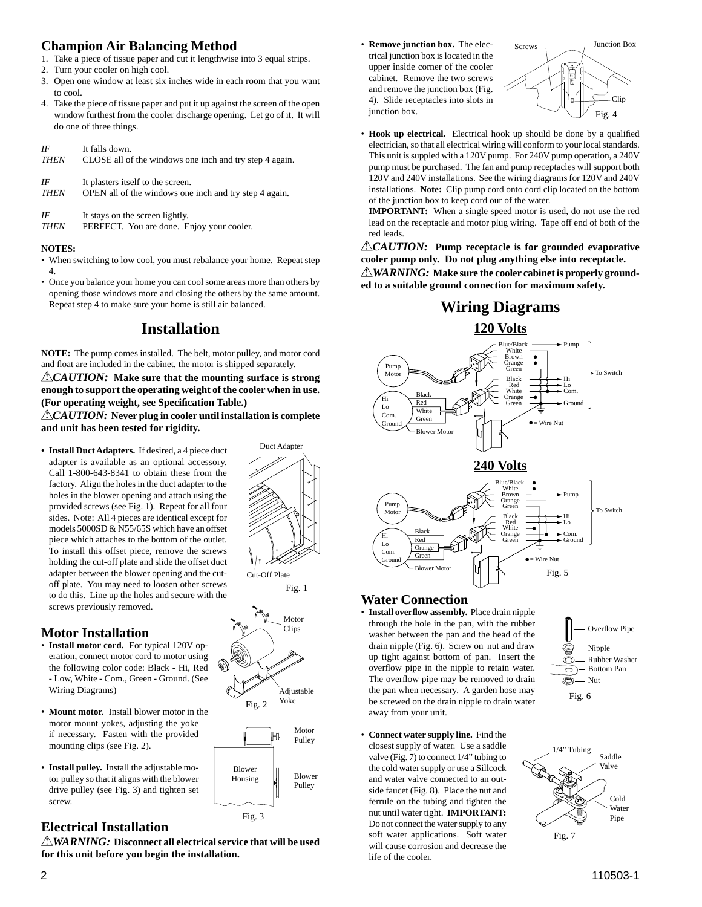### **Champion Air Balancing Method**

- 1. Take a piece of tissue paper and cut it lengthwise into 3 equal strips.
- 2. Turn your cooler on high cool.
- 3. Open one window at least six inches wide in each room that you want to cool.
- 4. Take the piece of tissue paper and put it up against the screen of the open window furthest from the cooler discharge opening. Let go of it. It will do one of three things.

### *IF* It falls down.

| <b>THEN</b> |  |  | CLOSE all of the windows one inch and try step 4 again. |  |  |  |  |
|-------------|--|--|---------------------------------------------------------|--|--|--|--|
|-------------|--|--|---------------------------------------------------------|--|--|--|--|

| IF          | It plasters itself to the screen.                      |
|-------------|--------------------------------------------------------|
| <b>THEN</b> | OPEN all of the windows one inch and try step 4 again. |

#### *IF* It stays on the screen lightly.

*THEN* PERFECT. You are done. Enjoy your cooler.

#### **NOTES:**

- When switching to low cool, you must rebalance your home. Repeat step 4.
- Once you balance your home you can cool some areas more than others by opening those windows more and closing the others by the same amount. Repeat step 4 to make sure your home is still air balanced.

# **Installation**

**NOTE:** The pump comes installed. The belt, motor pulley, and motor cord and float are included in the cabinet, the motor is shipped separately.

*CAUTION:* **Make sure that the mounting surface is strong enough to support the operating weight of the cooler when in use. (For operating weight, see Specifi cation Table.)**

*CAUTION:* **Never plug in cooler until installation is complete and unit has been tested for rigidity.**

**• Install Duct Adapters.** If desired, a 4 piece duct adapter is available as an optional accessory. Call 1-800-643-8341 to obtain these from the factory. Align the holes in the duct adapter to the holes in the blower opening and attach using the provided screws (see Fig. 1). Repeat for all four sides. Note: All 4 pieces are identical except for models 5000SD & N55/65S which have an offset piece which attaches to the bottom of the outlet. To install this offset piece, remove the screws holding the cut-off plate and slide the offset duct adapter between the blower opening and the cutoff plate. You may need to loosen other screws to do this. Line up the holes and secure with the screws previously removed.

### **Motor Installation**

- **Install motor cord.** For typical 120V operation, connect motor cord to motor using the following color code: Black - Hi, Red - Low, White - Com., Green - Ground. (See Wiring Diagrams)
- **Mount motor.** Install blower motor in the motor mount yokes, adjusting the yoke if necessary. Fasten with the provided mounting clips (see Fig. 2).
- **Install pulley.** Install the adjustable motor pulley so that it aligns with the blower drive pulley (see Fig. 3) and tighten set screw.

### **Electrical Installation**

*WARNING:* **Disconnect all electrical service that will be used for this unit before you begin the installation.**

• **Remove junction box.** The electrical junction box is located in the upper inside corner of the cooler cabinet. Remove the two screws and remove the junction box (Fig. 4). Slide receptacles into slots in junction box.



• **Hook up electrical.** Electrical hook up should be done by a qualified electrician, so that all electrical wiring will conform to your local standards. This unit is suppled with a 120V pump. For 240V pump operation, a 240V pump must be purchased. The fan and pump receptacles will support both 120V and 240V installations. See the wiring diagrams for 120V and 240V installations. **Note:** Clip pump cord onto cord clip located on the bottom of the junction box to keep cord our of the water.

 **IMPORTANT:** When a single speed motor is used, do not use the red lead on the receptacle and motor plug wiring. Tape off end of both of the red leads.

*CAUTION:* **Pump receptacle is for grounded evaporative cooler pump only. Do not plug anything else into receptacle.** *WARNING:* **Make sure the cooler cabinet is properly grounded to a suitable ground connection for maximum safety.**

### **Wiring Diagrams**





### **Water Connection**

• **Install overfl ow assembly.** Place drain nipple through the hole in the pan, with the rubber washer between the pan and the head of the drain nipple (Fig. 6). Screw on nut and draw up tight against bottom of pan. Insert the overflow pipe in the nipple to retain water. The overflow pipe may be removed to drain the pan when necessary. A garden hose may be screwed on the drain nipple to drain water away from your unit.

• **Connect water supply line.** Find the closest supply of water. Use a saddle valve (Fig. 7) to connect 1/4" tubing to the cold water supply or use a Sillcock and water valve connected to an outside faucet (Fig. 8). Place the nut and ferrule on the tubing and tighten the nut until water tight. **IMPORTANT:** Do not connect the water supply to any soft water applications. Soft water will cause corrosion and decrease the

life of the cooler.

ó Nut Fig. 6 1/4" Tubing Saddle Valve

Rubber Washer

Nipple Bottom Pan

9 6 ⌒ Overflow Pipe

Cold Water Pipe Fig. 7

Motor Clips Adjustable Fig. 2 Yoke

Cut-Off Plate

Fig. 1

Duct Adapter

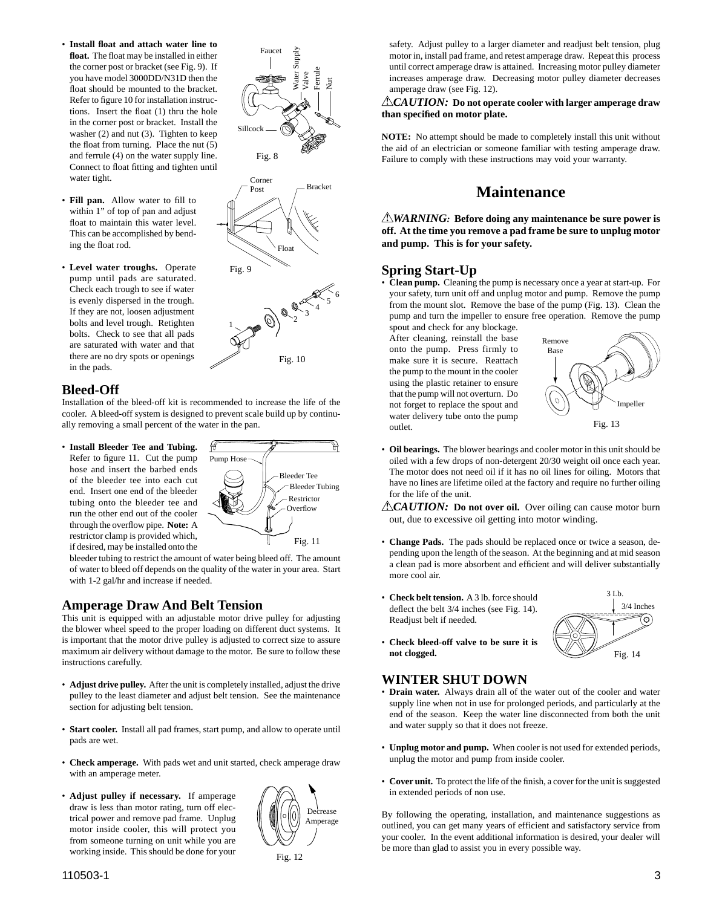• **Install fl oat and attach water line to float.** The float may be installed in either the corner post or bracket (see Fig. 9). If you have model 3000DD/N31D then the float should be mounted to the bracket. Refer to figure 10 for installation instructions. Insert the float (1) thru the hole in the corner post or bracket. Install the washer (2) and nut (3). Tighten to keep the float from turning. Place the nut  $(5)$ and ferrule (4) on the water supply line. Connect to float fitting and tighten until water tight.



• **Level water troughs.** Operate pump until pads are saturated. Check each trough to see if water is evenly dispersed in the trough. If they are not, loosen adjustment bolts and level trough. Retighten bolts. Check to see that all pads are saturated with water and that there are no dry spots or openings in the pads.

#### **Bleed-Off**

Installation of the bleed-off kit is recommended to increase the life of the cooler. A bleed-off system is designed to prevent scale build up by continually removing a small percent of the water in the pan.

• **Install Bleeder Tee and Tubing.**

Refer to figure 11. Cut the pump hose and insert the barbed ends of the bleeder tee into each cut end. Insert one end of the bleeder tubing onto the bleeder tee and run the other end out of the cooler through the overflow pipe. **Note:** A restrictor clamp is provided which, if desired, may be installed onto the



Float

Fig. 10

 $\sum_{2}^{\infty}$ 3

 $\sqrt{3}$ 6

 $\frac{\text{Post}}{\text{Post}}$   $\frac{}{\text{Bracket}}$ 

Water Supply Valve

Ferrule Nut

Corner

Fig. 8

Sillcock

Faucet

Fig. 9

1

bleeder tubing to restrict the amount of water being bleed off. The amount of water to bleed off depends on the quality of the water in your area. Start with 1-2 gal/hr and increase if needed.

#### **Amperage Draw And Belt Tension**

This unit is equipped with an adjustable motor drive pulley for adjusting the blower wheel speed to the proper loading on different duct systems. It is important that the motor drive pulley is adjusted to correct size to assure maximum air delivery without damage to the motor. Be sure to follow these instructions carefully.

- **Adjust drive pulley.** After the unit is completely installed, adjust the drive pulley to the least diameter and adjust belt tension. See the maintenance section for adjusting belt tension.
- **Start cooler.** Install all pad frames, start pump, and allow to operate until pads are wet.
- **Check amperage.** With pads wet and unit started, check amperage draw with an amperage meter.
- **Adjust pulley if necessary.** If amperage draw is less than motor rating, turn off electrical power and remove pad frame. Unplug motor inside cooler, this will protect you from someone turning on unit while you are working inside. This should be done for your



safety. Adjust pulley to a larger diameter and readjust belt tension, plug motor in, install pad frame, and retest amperage draw. Repeat this process until correct amperage draw is attained. Increasing motor pulley diameter increases amperage draw. Decreasing motor pulley diameter decreases amperage draw (see Fig. 12).

#### *CAUTION:* **Do not operate cooler with larger amperage draw than specifi ed on motor plate.**

**NOTE:** No attempt should be made to completely install this unit without the aid of an electrician or someone familiar with testing amperage draw. Failure to comply with these instructions may void your warranty.

### **Maintenance**

*WARNING:* **Before doing any maintenance be sure power is off. At the time you remove a pad frame be sure to unplug motor and pump. This is for your safety.**

#### **Spring Start-Up**

• **Clean pump.** Cleaning the pump is necessary once a year at start-up. For your safety, turn unit off and unplug motor and pump. Remove the pump from the mount slot. Remove the base of the pump (Fig. 13). Clean the pump and turn the impeller to ensure free operation. Remove the pump

spout and check for any blockage. After cleaning, reinstall the base onto the pump. Press firmly to make sure it is secure. Reattach the pump to the mount in the cooler using the plastic retainer to ensure that the pump will not overturn. Do not forget to replace the spout and water delivery tube onto the pump outlet.



• **Oil bearings.** The blower bearings and cooler motor in this unit should be oiled with a few drops of non-detergent 20/30 weight oil once each year. The motor does not need oil if it has no oil lines for oiling. Motors that have no lines are lifetime oiled at the factory and require no further oiling for the life of the unit.

*CAUTION:* Do not over oil. Over oiling can cause motor burn out, due to excessive oil getting into motor winding.

- **Change Pads.** The pads should be replaced once or twice a season, depending upon the length of the season. At the beginning and at mid season a clean pad is more absorbent and efficient and will deliver substantially more cool air.
- **Check belt tension.** A 3 lb. force should deflect the belt  $3/4$  inches (see Fig. 14). Readjust belt if needed.



• **Check bleed-off valve to be sure it is not clogged.**

#### **WINTER SHUT DOWN**

- **Drain water.** Always drain all of the water out of the cooler and water supply line when not in use for prolonged periods, and particularly at the end of the season. Keep the water line disconnected from both the unit and water supply so that it does not freeze.
- **Unplug motor and pump.** When cooler is not used for extended periods, unplug the motor and pump from inside cooler.
- Cover unit. To protect the life of the finish, a cover for the unit is suggested in extended periods of non use.

By following the operating, installation, and maintenance suggestions as outlined, you can get many years of efficient and satisfactory service from your cooler. In the event additional information is desired, your dealer will be more than glad to assist you in every possible way.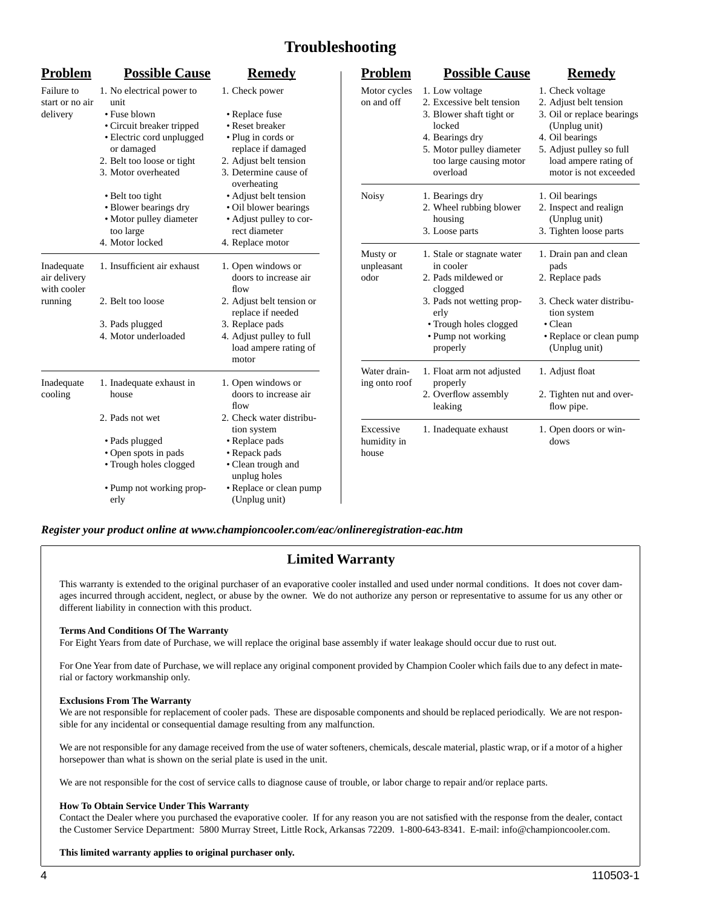# **Troubleshooting**

| <b>Problem</b>                            | <b>Possible Cause</b>                                                                                                                                                          | <b>Remedy</b>                                                                                                                                                     | <b>Problem</b>                    | <b>Possible Cause</b>                                                                                                                                                   | <b>Remedy</b>                                                                                                                                                                              |
|-------------------------------------------|--------------------------------------------------------------------------------------------------------------------------------------------------------------------------------|-------------------------------------------------------------------------------------------------------------------------------------------------------------------|-----------------------------------|-------------------------------------------------------------------------------------------------------------------------------------------------------------------------|--------------------------------------------------------------------------------------------------------------------------------------------------------------------------------------------|
| Failure to<br>start or no air<br>delivery | 1. No electrical power to<br>unit<br>• Fuse blown<br>• Circuit breaker tripped<br>· Electric cord unplugged<br>or damaged<br>2. Belt too loose or tight<br>3. Motor overheated | 1. Check power<br>• Replace fuse<br>• Reset breaker<br>• Plug in cords or<br>replace if damaged<br>2. Adjust belt tension<br>3. Determine cause of<br>overheating | Motor cycles<br>on and off        | 1. Low voltage<br>2. Excessive belt tension<br>3. Blower shaft tight or<br>locked<br>4. Bearings dry<br>5. Motor pulley diameter<br>too large causing motor<br>overload | 1. Check voltage<br>2. Adjust belt tension<br>3. Oil or replace bearings<br>(Unplug unit)<br>4. Oil bearings<br>5. Adjust pulley so full<br>load ampere rating of<br>motor is not exceeded |
|                                           | • Belt too tight<br>• Blower bearings dry<br>• Motor pulley diameter<br>too large<br>4. Motor locked                                                                           | • Adjust belt tension<br>• Oil blower bearings<br>• Adjust pulley to cor-<br>rect diameter<br>4. Replace motor                                                    | <b>Noisy</b>                      | 1. Bearings dry<br>2. Wheel rubbing blower<br>housing<br>3. Loose parts                                                                                                 | 1. Oil bearings<br>2. Inspect and realign<br>(Unplug unit)<br>3. Tighten loose parts                                                                                                       |
| Inadequate<br>air delivery<br>with cooler | 1. Insufficient air exhaust                                                                                                                                                    | 1. Open windows or<br>doors to increase air<br>flow                                                                                                               | Musty or<br>unpleasant<br>odor    | 1. Stale or stagnate water<br>in cooler<br>2. Pads mildewed or<br>clogged                                                                                               | 1. Drain pan and clean<br>pads<br>2. Replace pads                                                                                                                                          |
| running                                   | 2. Belt too loose<br>3. Pads plugged<br>4. Motor underloaded                                                                                                                   | 2. Adjust belt tension or<br>replace if needed<br>3. Replace pads<br>4. Adjust pulley to full<br>load ampere rating of<br>motor                                   |                                   | 3. Pads not wetting prop-<br>erly<br>• Trough holes clogged<br>• Pump not working<br>properly                                                                           | 3. Check water distribu-<br>tion system<br>$\bullet$ Clean<br>• Replace or clean pump<br>(Unplug unit)                                                                                     |
| Inadequate<br>cooling                     | 1. Inadequate exhaust in<br>house<br>2. Pads not wet                                                                                                                           | 1. Open windows or<br>doors to increase air<br>flow<br>2. Check water distribu-                                                                                   | Water drain-<br>ing onto roof     | 1. Float arm not adjusted<br>properly<br>2. Overflow assembly<br>leaking                                                                                                | 1. Adjust float<br>2. Tighten nut and over-<br>flow pipe.                                                                                                                                  |
|                                           | • Pads plugged<br>• Open spots in pads<br>• Trough holes clogged<br>• Pump not working prop-<br>erly                                                                           | tion system<br>• Replace pads<br>• Repack pads<br>• Clean trough and<br>unplug holes<br>• Replace or clean pump<br>(Unplug unit)                                  | Excessive<br>humidity in<br>house | 1. Inadequate exhaust                                                                                                                                                   | 1. Open doors or win-<br>dows                                                                                                                                                              |

*Register your product online at www.championcooler.com/eac/onlineregistration-eac.htm*

### **Limited Warranty**

This warranty is extended to the original purchaser of an evaporative cooler installed and used under normal conditions. It does not cover damages incurred through accident, neglect, or abuse by the owner. We do not authorize any person or representative to assume for us any other or different liability in connection with this product.

#### **Terms And Conditions Of The Warranty**

For Eight Years from date of Purchase, we will replace the original base assembly if water leakage should occur due to rust out.

For One Year from date of Purchase, we will replace any original component provided by Champion Cooler which fails due to any defect in material or factory workmanship only.

#### **Exclusions From The Warranty**

We are not responsible for replacement of cooler pads. These are disposable components and should be replaced periodically. We are not responsible for any incidental or consequential damage resulting from any malfunction.

We are not responsible for any damage received from the use of water softeners, chemicals, descale material, plastic wrap, or if a motor of a higher horsepower than what is shown on the serial plate is used in the unit.

We are not responsible for the cost of service calls to diagnose cause of trouble, or labor charge to repair and/or replace parts.

#### **How To Obtain Service Under This Warranty**

Contact the Dealer where you purchased the evaporative cooler. If for any reason you are not satisfied with the response from the dealer, contact the Customer Service Department: 5800 Murray Street, Little Rock, Arkansas 72209. 1-800-643-8341. E-mail: info@championcooler.com.

#### **This limited warranty applies to original purchaser only.**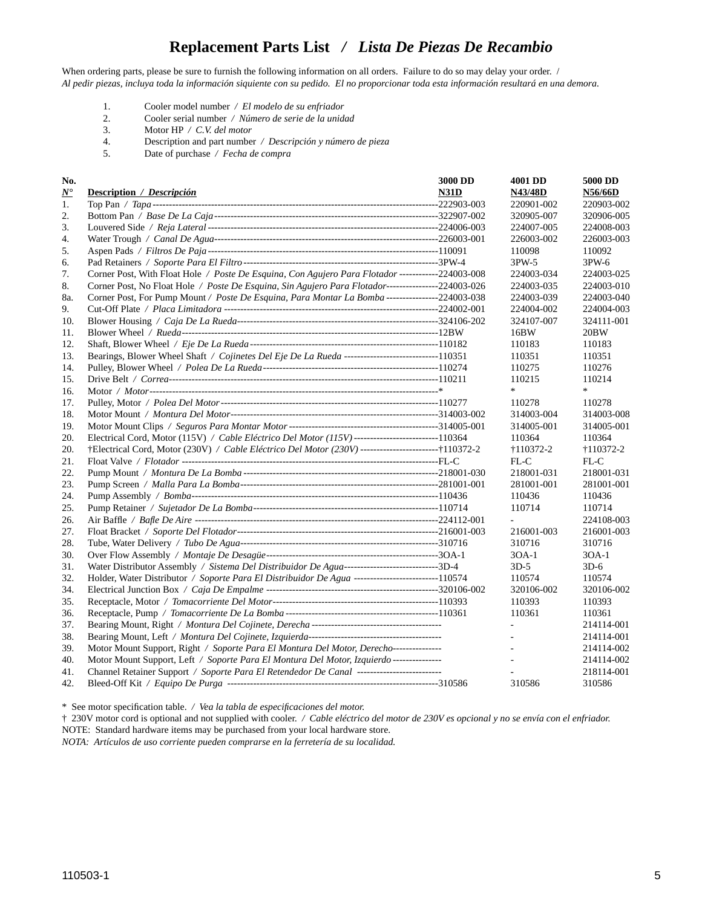### **Replacement Parts List** */ Lista De Piezas De Recambio*

When ordering parts, please be sure to furnish the following information on all orders. Failure to do so may delay your order. / *Al pedir piezas, incluya toda la información siquiente con su pedido. El no proporcionar toda esta información resultará en una demora.*

- 1. Cooler model number */ El modelo de su enfriador*
- 2. Cooler serial number */ Número de serie de la unidad*
- 3. Motor HP */ C.V. del motor*
- 4. Description and part number */ Descripción y número de pieza*
- 5. Date of purchase */ Fecha de compra*

| No.           |                                                                                                       | 3000 DD | 4001 DD            | 5000 DD    |
|---------------|-------------------------------------------------------------------------------------------------------|---------|--------------------|------------|
| $N^{\bullet}$ | <b>Description</b> / <i>Descripción</i>                                                               | N31D    | <b>N43/48D</b>     | N56/66D    |
| 1.            |                                                                                                       |         | 220901-002         | 220903-002 |
| 2.            |                                                                                                       |         | 320905-007         | 320906-005 |
| 3.            |                                                                                                       |         | 224007-005         | 224008-003 |
| 4.            |                                                                                                       |         | 226003-002         | 226003-003 |
| 5.            |                                                                                                       |         | 110098             | 110092     |
| 6.            |                                                                                                       |         | 3PW-5              | 3PW-6      |
| 7.            | Corner Post, With Float Hole / Poste De Esquina, Con Agujero Para Flotador ------------224003-008     |         | 224003-034         | 224003-025 |
| 8.            | Corner Post, No Float Hole / Poste De Esquina, Sin Agujero Para Flotador----------------224003-026    |         | 224003-035         | 224003-010 |
| 8a.           | Corner Post, For Pump Mount / Poste De Esquina, Para Montar La Bomba ----------------224003-038       |         | 224003-039         | 224003-040 |
| 9.            |                                                                                                       |         | 224004-002         | 224004-003 |
| 10.           |                                                                                                       |         | 324107-007         | 324111-001 |
| 11.           |                                                                                                       |         | 16BW               | 20BW       |
| 12.           |                                                                                                       |         | 110183             | 110183     |
| 13.           | Bearings, Blower Wheel Shaft / Cojinetes Del Eje De La Rueda -------------------------------110351    |         | 110351             | 110351     |
| 14.           |                                                                                                       |         | 110275             | 110276     |
| 15.           |                                                                                                       |         | 110215             | 110214     |
| 16.           |                                                                                                       |         | $\ast$             | *          |
| 17.           |                                                                                                       |         | 110278             | 110278     |
| 18.           |                                                                                                       |         | 314003-004         | 314003-008 |
| 19.           |                                                                                                       |         | 314005-001         | 314005-001 |
| 20.           | Electrical Cord, Motor (115V) / Cable Eléctrico Del Motor (115V) --------------------------110364     |         | 110364             | 110364     |
| 20.           | †Electrical Cord, Motor (230V) / Cable Eléctrico Del Motor (230V) --------------------------†110372-2 |         | $\dagger$ 110372-2 | +110372-2  |
| 21.           |                                                                                                       |         | FL-C               | FL-C       |
| 22.           |                                                                                                       |         | 218001-031         | 218001-031 |
| 23.           |                                                                                                       |         | 281001-001         | 281001-001 |
| 24.           |                                                                                                       |         | 110436             | 110436     |
| 25.           |                                                                                                       |         | 110714             | 110714     |
| 26.           |                                                                                                       |         |                    | 224108-003 |
| 27.           |                                                                                                       |         | 216001-003         | 216001-003 |
| 28.           |                                                                                                       |         | 310716             | 310716     |
| 30.           |                                                                                                       |         | 30A-1              | 30A-1      |
| 31.           | Water Distributor Assembly / Sistema Del Distribuidor De Agua----------------------------3D-4         |         | $3D-5$             | $3D-6$     |
| 32.           | Holder, Water Distributor / Soporte Para El Distribuidor De Agua ---------------------------110574    |         | 110574             | 110574     |
| 34.           |                                                                                                       |         | 320106-002         | 320106-002 |
| 35.           |                                                                                                       |         | 110393             | 110393     |
| 36.           |                                                                                                       |         | 110361             | 110361     |
| 37.           |                                                                                                       |         |                    | 214114-001 |
| 38.           |                                                                                                       |         |                    | 214114-001 |
| 39.           | Motor Mount Support, Right / Soporte Para El Montura Del Motor, Derecho---------------                |         |                    | 214114-002 |
| 40.           | Motor Mount Support, Left / Soporte Para El Montura Del Motor, Izquierdo ---------------              |         |                    | 214114-002 |
| 41.           | Channel Retainer Support / Soporte Para El Retendedor De Canal -------------------------              |         |                    | 218114-001 |
| 42.           |                                                                                                       |         | 310586             | 310586     |

\* See motor specifi cation table. */ Vea la tabla de especifi caciones del motor.*

† 230V motor cord is optional and not supplied with cooler. */ Cable eléctrico del motor de 230V es opcional y no se envía con el enfriador.*

NOTE: Standard hardware items may be purchased from your local hardware store.

*NOTA: Artículos de uso corriente pueden comprarse en la ferretería de su localidad.*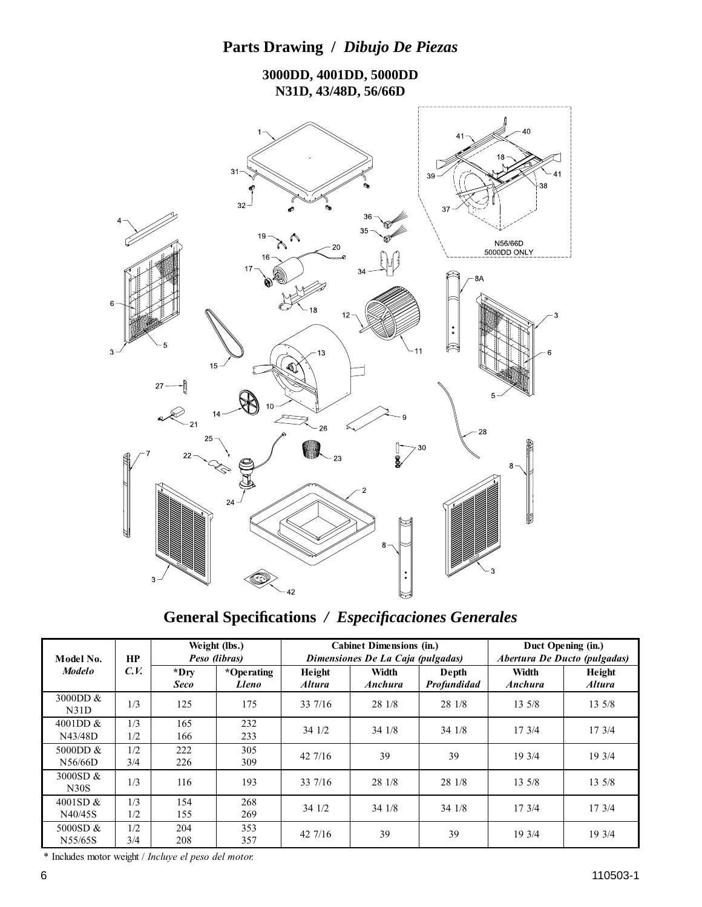



**General Specifi cations** */ Especifi caciones Generales*

| Model No.             | HP<br>C.V. | Weight (lbs.)<br>Peso (libras) |                            |                                | <b>Cabinet Dimensions (in.)</b><br>Dimensiones De La Caja (pulgadas) | Duct Opening (in.)<br>Abertura De Ducto (pulgadas) |                  |                         |
|-----------------------|------------|--------------------------------|----------------------------|--------------------------------|----------------------------------------------------------------------|----------------------------------------------------|------------------|-------------------------|
| <b>Modelo</b>         |            | *Dry<br><b>Seco</b>            | *Operating<br><b>Lleno</b> | Height<br><i><b>Altura</b></i> | Width<br><b>Anchura</b>                                              | Depth<br>Profundidad                               | Width<br>Anchura | Height<br><b>Altura</b> |
| 3000DD &<br>N31D      | 1/3        | 125                            | 175                        | 33 7/16                        | 28 1/8                                                               | 28 1/8                                             | 13.5/8           | $13 \frac{5}{8}$        |
| 4001DD &<br>N43/48D   | 1/3<br>1/2 | 165<br>166                     | 232<br>233                 | 34 1/2                         | 34 1/8                                                               | 341/8                                              | 173/4            | 173/4                   |
| 5000DD $&$<br>N56/66D | 1/2<br>3/4 | 222<br>226                     | 305<br>309                 | $42\,7/16$                     | 39                                                                   | 39                                                 | 19 3/4           | 19 3/4                  |
| 3000SD &<br>N30S      | 1/3        | 116                            | 193                        | 33 7/16                        | 28 1/8                                                               | 28 1/8                                             | 13 5/8           | 13 5/8                  |
| 4001SD &<br>N40/45S   | 1/3<br>1/2 | 154<br>155                     | 268<br>269                 | 34 1/2                         | 341/8                                                                | 341/8                                              | 17.3/4           | 17.3/4                  |
| 5000SD &<br>N55/65S   | 1/2<br>3/4 | 204<br>208                     | 353<br>357                 | $42\frac{7}{16}$               | 39                                                                   | 39                                                 | 19 3/4           | 19 3/4                  |

\* Includes motor weight / *Incluye el peso del motor.*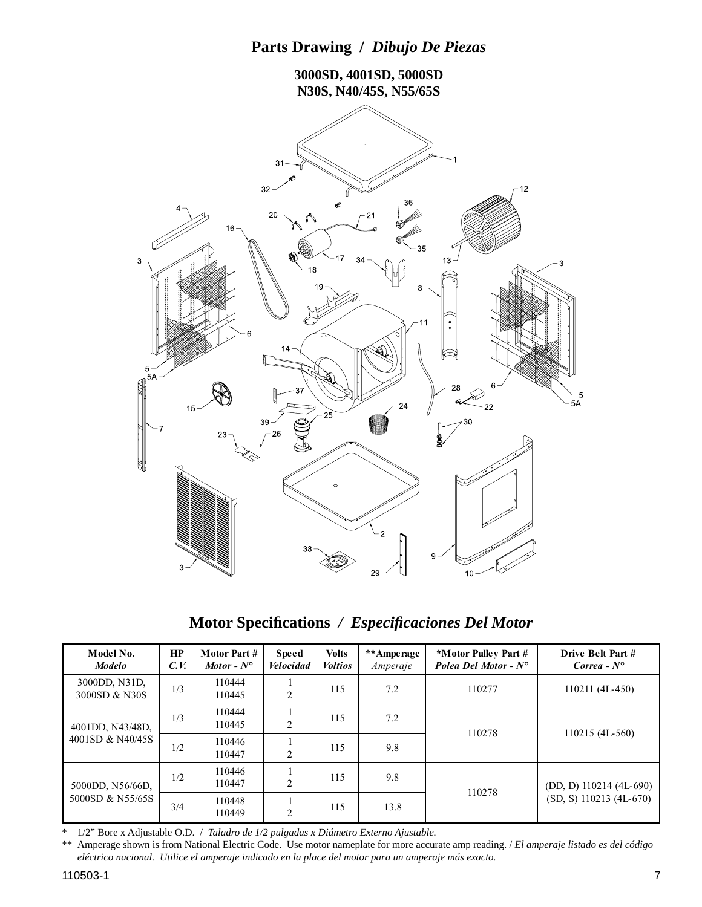

**Motor Specifi cations** */ Especifi caciones Del Motor*

| Model No.<br><b>Modelo</b>           | HP<br>C.V. | Motor Part #<br>Motor - $N^{\circ}$ | <b>Speed</b><br><i>Velocidad</i> | <b>Volts</b><br><b>Voltios</b> | **Amperage<br>Amperaje | *Motor Pulley Part #<br>Polea Del Motor - $N^{\circ}$ | Drive Belt Part #<br>Correa - $N^{\circ}$ |
|--------------------------------------|------------|-------------------------------------|----------------------------------|--------------------------------|------------------------|-------------------------------------------------------|-------------------------------------------|
| 3000DD, N31D,<br>3000SD & N30S       | 1/3        | 110444<br>110445                    | 2                                | 115                            | 7.2                    | 110277                                                | 110211 (4L-450)                           |
| 4001DD, N43/48D,<br>4001SD & N40/45S | 1/3        | 110444<br>110445                    | 2                                | 115                            | 7.2                    | 110278                                                |                                           |
|                                      | 1/2        | 110446<br>110447                    | $\overline{2}$                   | 115                            | 9.8                    |                                                       | $110215(4L-560)$                          |
| 5000DD, N56/66D,<br>5000SD & N55/65S | 1/2        | 110446<br>110447                    | 2                                | 115                            | 9.8                    |                                                       | (DD, D) 110214 (4L-690)                   |
|                                      | 3/4        | 110448<br>110449                    | $\overline{2}$                   | 115                            | 13.8                   | 110278                                                | $(SD, S)$ 110213 (4L-670)                 |

\* 1/2" Bore x Adjustable O.D. / *Taladro de 1/2 pulgadas x Diámetro Externo Ajustable.*

\*\* Amperage shown is from National Electric Code. Use motor nameplate for more accurate amp reading. / *El amperaje listado es del código eléctrico nacional. Utilice el amperaje indicado en la place del motor para un amperaje más exacto.*